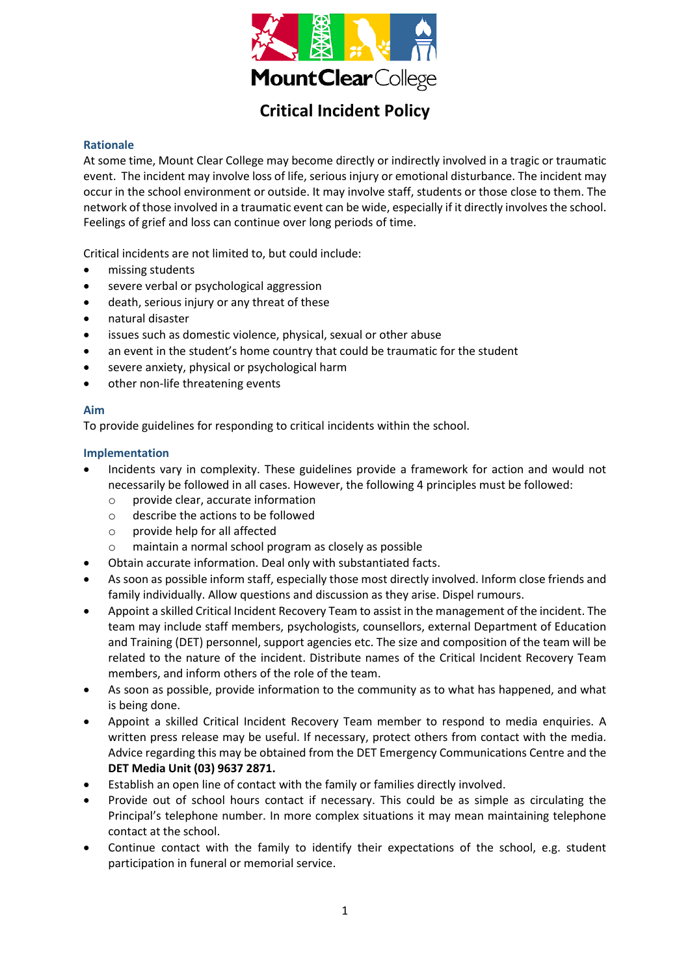

## **Critical Incident Policy**

## **Rationale**

At some time, Mount Clear College may become directly or indirectly involved in a tragic or traumatic event. The incident may involve loss of life, serious injury or emotional disturbance. The incident may occur in the school environment or outside. It may involve staff, students or those close to them. The network of those involved in a traumatic event can be wide, especially if it directly involves the school. Feelings of grief and loss can continue over long periods of time.

Critical incidents are not limited to, but could include:

- missing students
- severe verbal or psychological aggression
- death, serious injury or any threat of these
- natural disaster
- issues such as domestic violence, physical, sexual or other abuse
- an event in the student's home country that could be traumatic for the student
- severe anxiety, physical or psychological harm
- other non-life threatening events

#### **Aim**

To provide guidelines for responding to critical incidents within the school.

#### **Implementation**

- Incidents vary in complexity. These guidelines provide a framework for action and would not necessarily be followed in all cases. However, the following 4 principles must be followed:
	- o provide clear, accurate information
	- o describe the actions to be followed
	- o provide help for all affected
	- o maintain a normal school program as closely as possible
- Obtain accurate information. Deal only with substantiated facts.
- As soon as possible inform staff, especially those most directly involved. Inform close friends and family individually. Allow questions and discussion as they arise. Dispel rumours.
- Appoint a skilled Critical Incident Recovery Team to assist in the management of the incident. The team may include staff members, psychologists, counsellors, external Department of Education and Training (DET) personnel, support agencies etc. The size and composition of the team will be related to the nature of the incident. Distribute names of the Critical Incident Recovery Team members, and inform others of the role of the team.
- As soon as possible, provide information to the community as to what has happened, and what is being done.
- Appoint a skilled Critical Incident Recovery Team member to respond to media enquiries. A written press release may be useful. If necessary, protect others from contact with the media. Advice regarding this may be obtained from the DET Emergency Communications Centre and the **DET Media Unit (03) 9637 2871.**
- Establish an open line of contact with the family or families directly involved.
- Provide out of school hours contact if necessary. This could be as simple as circulating the Principal's telephone number. In more complex situations it may mean maintaining telephone contact at the school.
- Continue contact with the family to identify their expectations of the school, e.g. student participation in funeral or memorial service.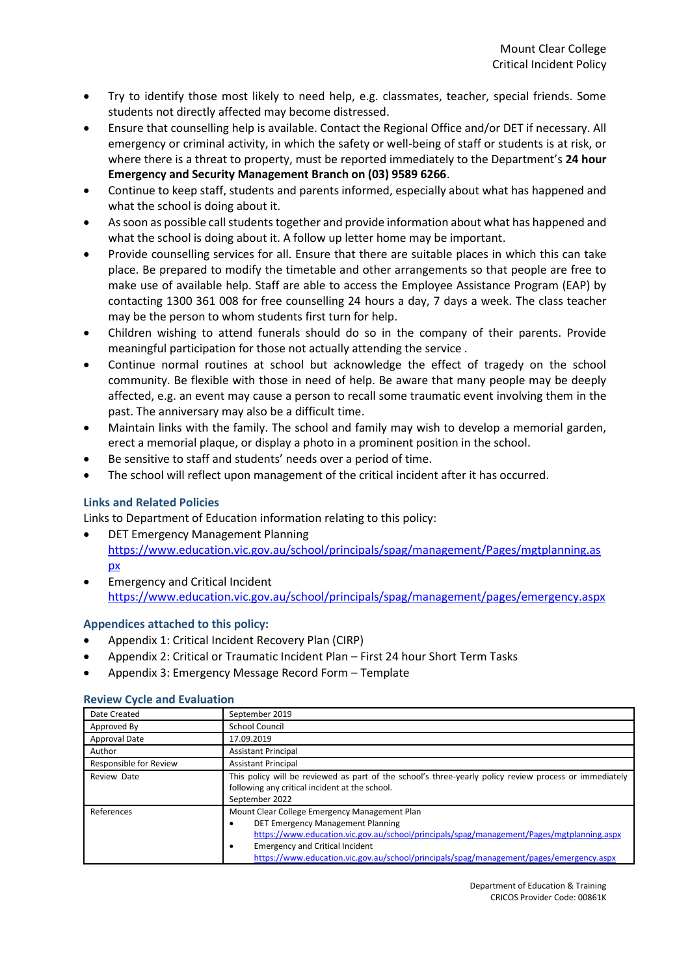- Try to identify those most likely to need help, e.g. classmates, teacher, special friends. Some students not directly affected may become distressed.
- Ensure that counselling help is available. Contact the Regional Office and/or DET if necessary. All emergency or criminal activity, in which the safety or well-being of staff or students is at risk, or where there is a threat to property, must be reported immediately to the Department's **24 hour Emergency and Security Management Branch on (03) 9589 6266**.
- Continue to keep staff, students and parents informed, especially about what has happened and what the school is doing about it.
- As soon as possible call students together and provide information about what has happened and what the school is doing about it. A follow up letter home may be important.
- Provide counselling services for all. Ensure that there are suitable places in which this can take place. Be prepared to modify the timetable and other arrangements so that people are free to make use of available help. Staff are able to access the Employee Assistance Program (EAP) by contacting 1300 361 008 for free counselling 24 hours a day, 7 days a week. The class teacher may be the person to whom students first turn for help.
- Children wishing to attend funerals should do so in the company of their parents. Provide meaningful participation for those not actually attending the service .
- Continue normal routines at school but acknowledge the effect of tragedy on the school community. Be flexible with those in need of help. Be aware that many people may be deeply affected, e.g. an event may cause a person to recall some traumatic event involving them in the past. The anniversary may also be a difficult time.
- Maintain links with the family. The school and family may wish to develop a memorial garden, erect a memorial plaque, or display a photo in a prominent position in the school.
- Be sensitive to staff and students' needs over a period of time.
- The school will reflect upon management of the critical incident after it has occurred.

## **Links and Related Policies**

Links to Department of Education information relating to this policy:

- DET Emergency Management Planning [https://www.education.vic.gov.au/school/principals/spag/management/Pages/mgtplanning.as](https://www.education.vic.gov.au/school/principals/spag/management/Pages/mgtplanning.aspx) [px](https://www.education.vic.gov.au/school/principals/spag/management/Pages/mgtplanning.aspx)
- Emergency and Critical Incident <https://www.education.vic.gov.au/school/principals/spag/management/pages/emergency.aspx>

#### **Appendices attached to this policy:**

- Appendix 1: Critical Incident Recovery Plan (CIRP)
- Appendix 2: Critical or Traumatic Incident Plan First 24 hour Short Term Tasks
- Appendix 3: Emergency Message Record Form Template

#### **Review Cycle and Evaluation**

| Date Created           | September 2019                                                                                                                                                                                                                                                                                                                 |  |
|------------------------|--------------------------------------------------------------------------------------------------------------------------------------------------------------------------------------------------------------------------------------------------------------------------------------------------------------------------------|--|
| Approved By            | <b>School Council</b>                                                                                                                                                                                                                                                                                                          |  |
| <b>Approval Date</b>   | 17.09.2019                                                                                                                                                                                                                                                                                                                     |  |
| Author                 | <b>Assistant Principal</b>                                                                                                                                                                                                                                                                                                     |  |
| Responsible for Review | <b>Assistant Principal</b>                                                                                                                                                                                                                                                                                                     |  |
| Review Date            | This policy will be reviewed as part of the school's three-yearly policy review process or immediately<br>following any critical incident at the school.<br>September 2022                                                                                                                                                     |  |
| References             | Mount Clear College Emergency Management Plan<br>DET Emergency Management Planning<br>٠<br>https://www.education.vic.gov.au/school/principals/spag/management/Pages/mgtplanning.aspx<br><b>Emergency and Critical Incident</b><br>٠<br>https://www.education.vic.gov.au/school/principals/spag/management/pages/emergency.aspx |  |

Department of Education & Training CRICOS Provider Code: 00861K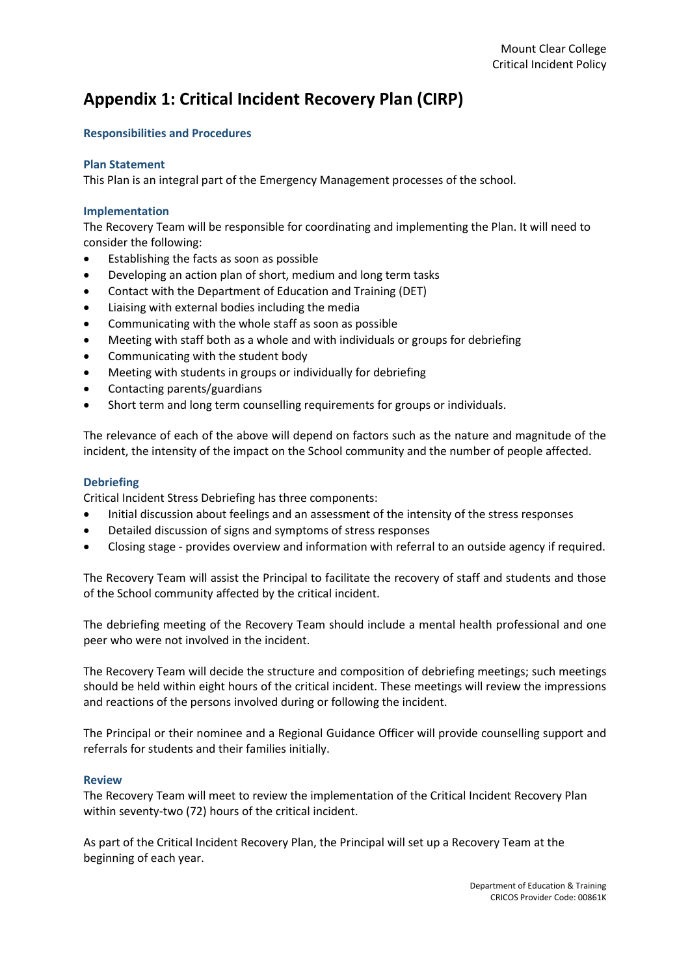## **Appendix 1: Critical Incident Recovery Plan (CIRP)**

## **Responsibilities and Procedures**

#### **Plan Statement**

This Plan is an integral part of the Emergency Management processes of the school.

#### **Implementation**

The Recovery Team will be responsible for coordinating and implementing the Plan. It will need to consider the following:

- Establishing the facts as soon as possible
- Developing an action plan of short, medium and long term tasks
- Contact with the Department of Education and Training (DET)
- Liaising with external bodies including the media
- Communicating with the whole staff as soon as possible
- Meeting with staff both as a whole and with individuals or groups for debriefing
- Communicating with the student body
- Meeting with students in groups or individually for debriefing
- Contacting parents/guardians
- Short term and long term counselling requirements for groups or individuals.

The relevance of each of the above will depend on factors such as the nature and magnitude of the incident, the intensity of the impact on the School community and the number of people affected.

#### **Debriefing**

Critical Incident Stress Debriefing has three components:

- Initial discussion about feelings and an assessment of the intensity of the stress responses
- Detailed discussion of signs and symptoms of stress responses
- Closing stage provides overview and information with referral to an outside agency if required.

The Recovery Team will assist the Principal to facilitate the recovery of staff and students and those of the School community affected by the critical incident.

The debriefing meeting of the Recovery Team should include a mental health professional and one peer who were not involved in the incident.

The Recovery Team will decide the structure and composition of debriefing meetings; such meetings should be held within eight hours of the critical incident. These meetings will review the impressions and reactions of the persons involved during or following the incident.

The Principal or their nominee and a Regional Guidance Officer will provide counselling support and referrals for students and their families initially.

#### **Review**

The Recovery Team will meet to review the implementation of the Critical Incident Recovery Plan within seventy-two (72) hours of the critical incident.

As part of the Critical Incident Recovery Plan, the Principal will set up a Recovery Team at the beginning of each year.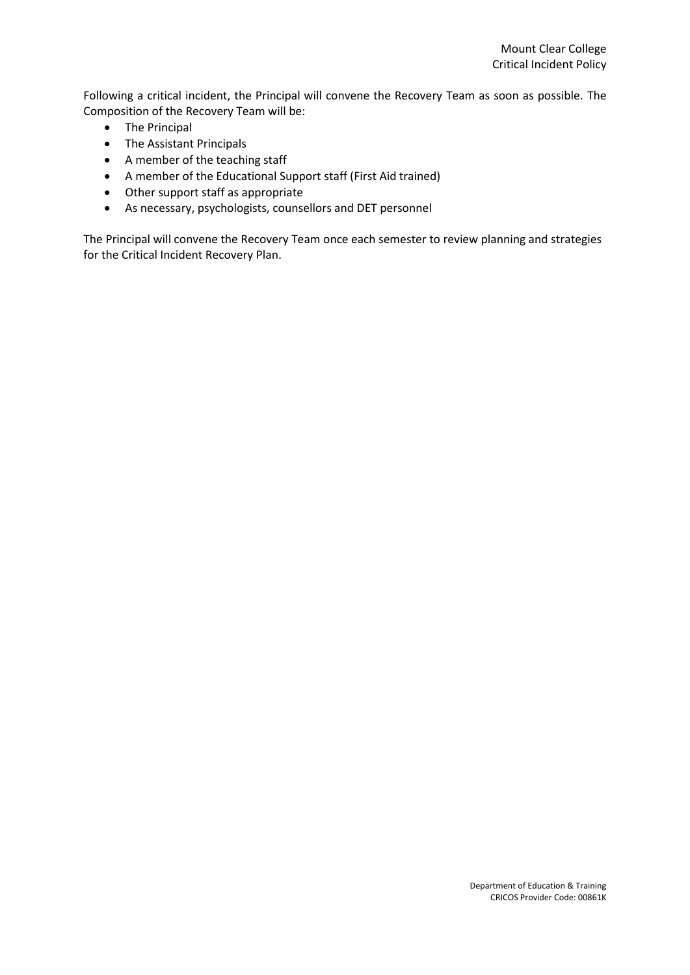Following a critical incident, the Principal will convene the Recovery Team as soon as possible. The Composition of the Recovery Team will be:

- The Principal
- The Assistant Principals
- A member of the teaching staff
- A member of the Educational Support staff (First Aid trained)
- Other support staff as appropriate
- As necessary, psychologists, counsellors and DET personnel

The Principal will convene the Recovery Team once each semester to review planning and strategies for the Critical Incident Recovery Plan.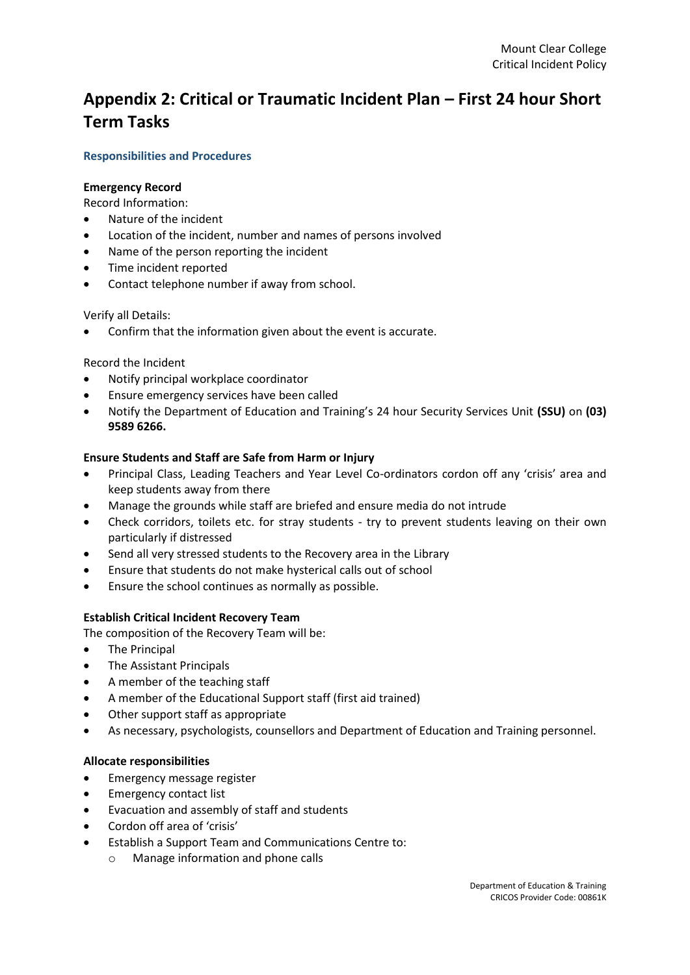# **Appendix 2: Critical or Traumatic Incident Plan – First 24 hour Short Term Tasks**

## **Responsibilities and Procedures**

#### **Emergency Record**

Record Information:

- Nature of the incident
- Location of the incident, number and names of persons involved
- Name of the person reporting the incident
- Time incident reported
- Contact telephone number if away from school.

#### Verify all Details:

Confirm that the information given about the event is accurate.

## Record the Incident

- Notify principal workplace coordinator
- Ensure emergency services have been called
- Notify the Department of Education and Training's 24 hour Security Services Unit **(SSU)** on **(03) 9589 6266.**

#### **Ensure Students and Staff are Safe from Harm or Injury**

- Principal Class, Leading Teachers and Year Level Co-ordinators cordon off any 'crisis' area and keep students away from there
- Manage the grounds while staff are briefed and ensure media do not intrude
- Check corridors, toilets etc. for stray students try to prevent students leaving on their own particularly if distressed
- Send all very stressed students to the Recovery area in the Library
- Ensure that students do not make hysterical calls out of school
- Ensure the school continues as normally as possible.

#### **Establish Critical Incident Recovery Team**

The composition of the Recovery Team will be:

- The Principal
- The Assistant Principals
- A member of the teaching staff
- A member of the Educational Support staff (first aid trained)
- Other support staff as appropriate
- As necessary, psychologists, counsellors and Department of Education and Training personnel.

#### **Allocate responsibilities**

- **•** Emergency message register
- Emergency contact list
- Evacuation and assembly of staff and students
- Cordon off area of 'crisis'
- Establish a Support Team and Communications Centre to:
	- o Manage information and phone calls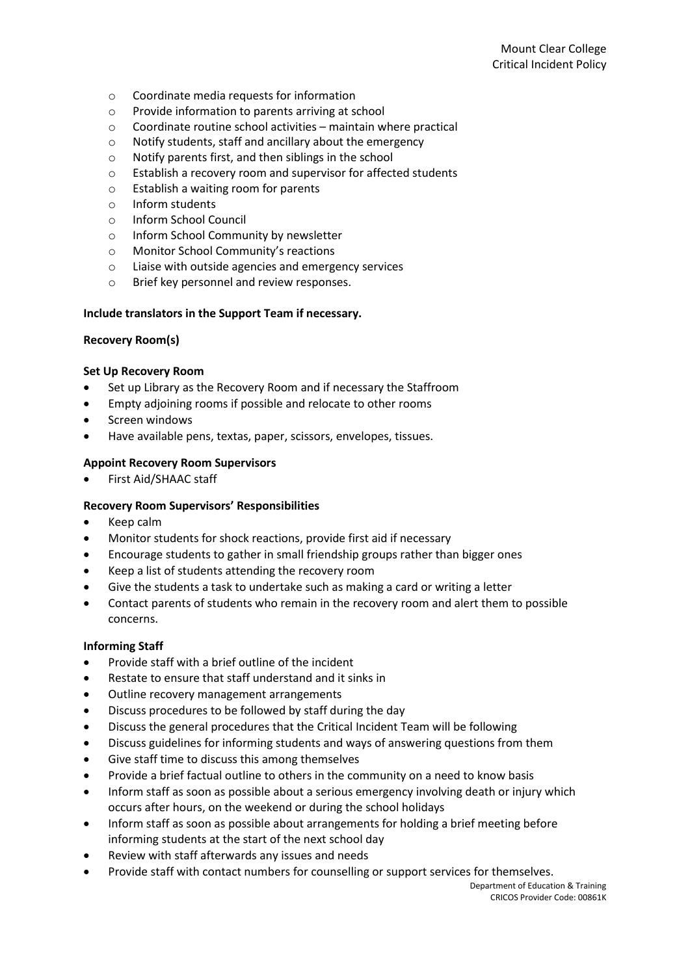- o Coordinate media requests for information
- o Provide information to parents arriving at school
- $\circ$  Coordinate routine school activities maintain where practical
- o Notify students, staff and ancillary about the emergency
- o Notify parents first, and then siblings in the school
- o Establish a recovery room and supervisor for affected students
- o Establish a waiting room for parents
- o Inform students
- o Inform School Council
- o Inform School Community by newsletter
- o Monitor School Community's reactions
- o Liaise with outside agencies and emergency services
- o Brief key personnel and review responses.

## **Include translators in the Support Team if necessary.**

## **Recovery Room(s)**

#### **Set Up Recovery Room**

- Set up Library as the Recovery Room and if necessary the Staffroom
- Empty adjoining rooms if possible and relocate to other rooms
- Screen windows
- Have available pens, textas, paper, scissors, envelopes, tissues.

## **Appoint Recovery Room Supervisors**

First Aid/SHAAC staff

#### **Recovery Room Supervisors' Responsibilities**

- Keep calm
- Monitor students for shock reactions, provide first aid if necessary
- Encourage students to gather in small friendship groups rather than bigger ones
- Keep a list of students attending the recovery room
- Give the students a task to undertake such as making a card or writing a letter
- Contact parents of students who remain in the recovery room and alert them to possible concerns.

#### **Informing Staff**

- Provide staff with a brief outline of the incident
- Restate to ensure that staff understand and it sinks in
- Outline recovery management arrangements
- Discuss procedures to be followed by staff during the day
- Discuss the general procedures that the Critical Incident Team will be following
- Discuss guidelines for informing students and ways of answering questions from them
- Give staff time to discuss this among themselves
- Provide a brief factual outline to others in the community on a need to know basis
- Inform staff as soon as possible about a serious emergency involving death or injury which occurs after hours, on the weekend or during the school holidays
- Inform staff as soon as possible about arrangements for holding a brief meeting before informing students at the start of the next school day
- Review with staff afterwards any issues and needs
- Provide staff with contact numbers for counselling or support services for themselves.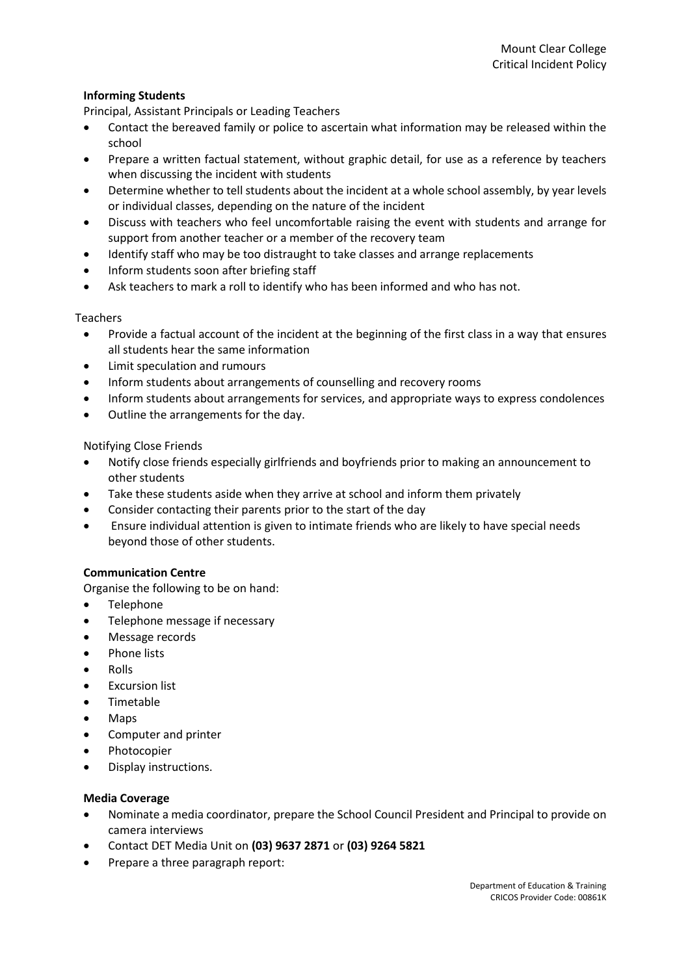## **Informing Students**

Principal, Assistant Principals or Leading Teachers

- Contact the bereaved family or police to ascertain what information may be released within the school
- Prepare a written factual statement, without graphic detail, for use as a reference by teachers when discussing the incident with students
- Determine whether to tell students about the incident at a whole school assembly, by year levels or individual classes, depending on the nature of the incident
- Discuss with teachers who feel uncomfortable raising the event with students and arrange for support from another teacher or a member of the recovery team
- Identify staff who may be too distraught to take classes and arrange replacements
- Inform students soon after briefing staff
- Ask teachers to mark a roll to identify who has been informed and who has not.

## Teachers

- Provide a factual account of the incident at the beginning of the first class in a way that ensures all students hear the same information
- Limit speculation and rumours
- Inform students about arrangements of counselling and recovery rooms
- Inform students about arrangements for services, and appropriate ways to express condolences
- Outline the arrangements for the day.

Notifying Close Friends

- Notify close friends especially girlfriends and boyfriends prior to making an announcement to other students
- Take these students aside when they arrive at school and inform them privately
- Consider contacting their parents prior to the start of the day
- Ensure individual attention is given to intimate friends who are likely to have special needs beyond those of other students.

## **Communication Centre**

Organise the following to be on hand:

- Telephone
- Telephone message if necessary
- Message records
- Phone lists
- Rolls
- Excursion list
- Timetable
- Maps
- Computer and printer
- Photocopier
- Display instructions.

#### **Media Coverage**

- Nominate a media coordinator, prepare the School Council President and Principal to provide on camera interviews
- Contact DET Media Unit on **(03) 9637 2871** or **(03) 9264 5821**
- Prepare a three paragraph report: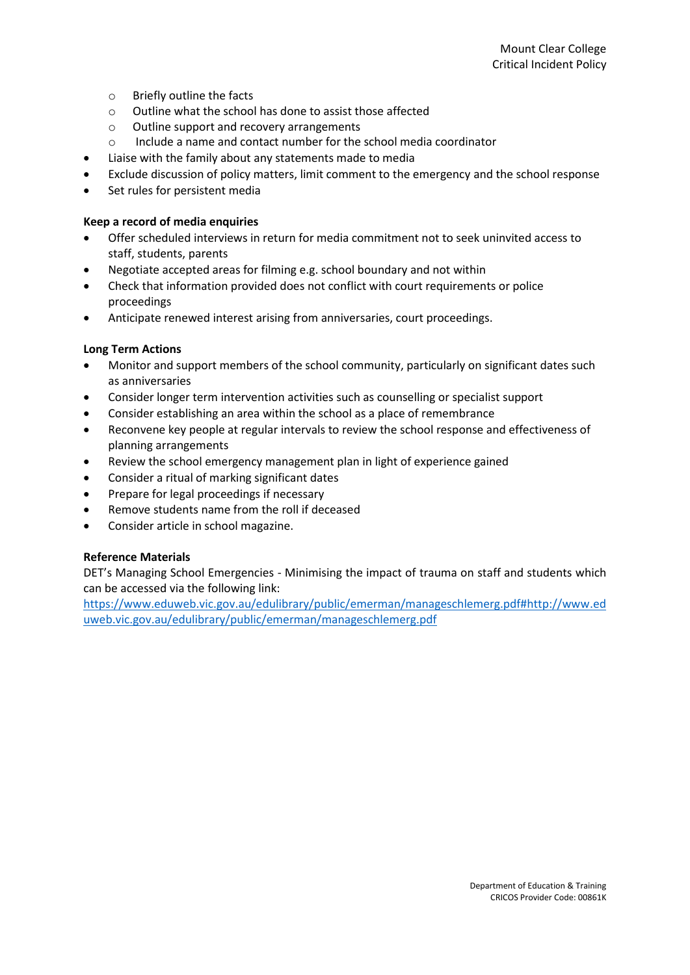- o Briefly outline the facts
- o Outline what the school has done to assist those affected
- o Outline support and recovery arrangements
- o Include a name and contact number for the school media coordinator
- Liaise with the family about any statements made to media
- Exclude discussion of policy matters, limit comment to the emergency and the school response
- Set rules for persistent media

## **Keep a record of media enquiries**

- Offer scheduled interviews in return for media commitment not to seek uninvited access to staff, students, parents
- Negotiate accepted areas for filming e.g. school boundary and not within
- Check that information provided does not conflict with court requirements or police proceedings
- Anticipate renewed interest arising from anniversaries, court proceedings.

## **Long Term Actions**

- Monitor and support members of the school community, particularly on significant dates such as anniversaries
- Consider longer term intervention activities such as counselling or specialist support
- Consider establishing an area within the school as a place of remembrance
- Reconvene key people at regular intervals to review the school response and effectiveness of planning arrangements
- Review the school emergency management plan in light of experience gained
- Consider a ritual of marking significant dates
- Prepare for legal proceedings if necessary
- Remove students name from the roll if deceased
- Consider article in school magazine.

## **Reference Materials**

DET's Managing School Emergencies - Minimising the impact of trauma on staff and students which can be accessed via the following link:

[https://www.eduweb.vic.gov.au/edulibrary/public/emerman/manageschlemerg.pdf#http://www.ed](https://www.eduweb.vic.gov.au/edulibrary/public/emerman/manageschlemerg.pdf#http://www.eduweb.vic.gov.au/edulibrary/public/emerman/manageschlemerg.pdf) [uweb.vic.gov.au/edulibrary/public/emerman/manageschlemerg.pdf](https://www.eduweb.vic.gov.au/edulibrary/public/emerman/manageschlemerg.pdf#http://www.eduweb.vic.gov.au/edulibrary/public/emerman/manageschlemerg.pdf)